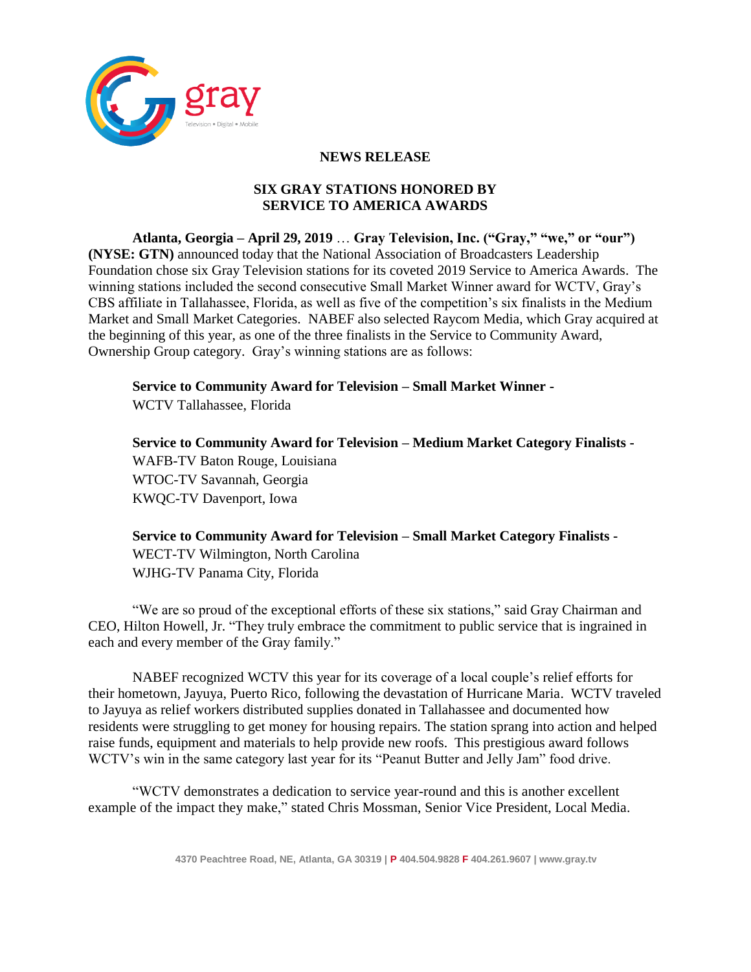

## **NEWS RELEASE**

## **SIX GRAY STATIONS HONORED BY SERVICE TO AMERICA AWARDS**

**Atlanta, Georgia – April 29, 2019** … **Gray Television, Inc. ("Gray," "we," or "our") (NYSE: GTN)** announced today that the National Association of Broadcasters Leadership Foundation chose six Gray Television stations for its coveted 2019 Service to America Awards. The winning stations included the second consecutive Small Market Winner award for WCTV, Gray's CBS affiliate in Tallahassee, Florida, as well as five of the competition's six finalists in the Medium Market and Small Market Categories. NABEF also selected Raycom Media, which Gray acquired at the beginning of this year, as one of the three finalists in the Service to Community Award, Ownership Group category. Gray's winning stations are as follows:

**Service to Community Award for Television – Small Market Winner -**

WCTV Tallahassee, Florida

**Service to Community Award for Television – Medium Market Category Finalists -** WAFB-TV Baton Rouge, Louisiana WTOC-TV Savannah, Georgia KWQC-TV Davenport, Iowa

**Service to Community Award for Television – Small Market Category Finalists -** WECT-TV Wilmington, North Carolina WJHG-TV Panama City, Florida

"We are so proud of the exceptional efforts of these six stations," said Gray Chairman and CEO, Hilton Howell, Jr. "They truly embrace the commitment to public service that is ingrained in each and every member of the Gray family."

NABEF recognized WCTV this year for its coverage of a local couple's relief efforts for their hometown, Jayuya, Puerto Rico, following the devastation of Hurricane Maria. WCTV traveled to Jayuya as relief workers distributed supplies donated in Tallahassee and documented how residents were struggling to get money for housing repairs. The station sprang into action and helped raise funds, equipment and materials to help provide new roofs. This prestigious award follows WCTV's win in the same category last year for its "Peanut Butter and Jelly Jam" food drive.

"WCTV demonstrates a dedication to service year-round and this is another excellent example of the impact they make," stated Chris Mossman, Senior Vice President, Local Media.

**4370 Peachtree Road, NE, Atlanta, GA 30319 | P 404.504.9828 F 404.261.9607 | www.gray.tv**